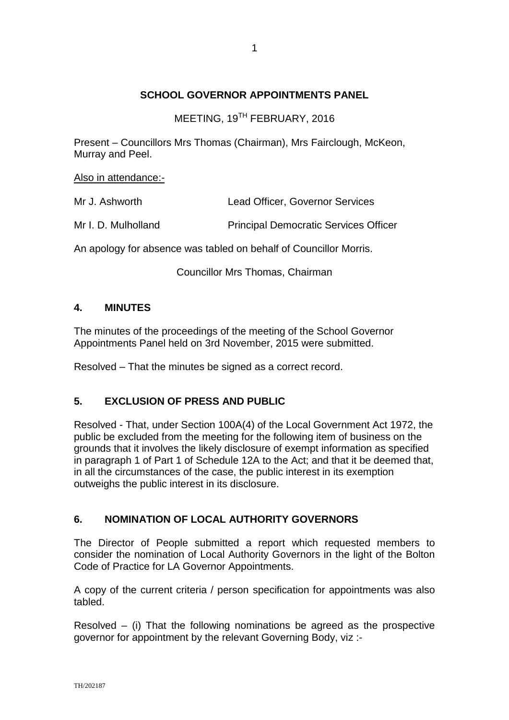## **SCHOOL GOVERNOR APPOINTMENTS PANEL**

MEETING, 19<sup>TH</sup> FEBRUARY, 2016

Present – Councillors Mrs Thomas (Chairman), Mrs Fairclough, McKeon, Murray and Peel.

Also in attendance:-

| Mr J. Ashworth      | <b>Lead Officer, Governor Services</b>       |  |
|---------------------|----------------------------------------------|--|
| Mr I. D. Mulholland | <b>Principal Democratic Services Officer</b> |  |

An apology for absence was tabled on behalf of Councillor Morris.

Councillor Mrs Thomas, Chairman

## **4. MINUTES**

The minutes of the proceedings of the meeting of the School Governor Appointments Panel held on 3rd November, 2015 were submitted.

Resolved – That the minutes be signed as a correct record.

## **5. EXCLUSION OF PRESS AND PUBLIC**

Resolved - That, under Section 100A(4) of the Local Government Act 1972, the public be excluded from the meeting for the following item of business on the grounds that it involves the likely disclosure of exempt information as specified in paragraph 1 of Part 1 of Schedule 12A to the Act; and that it be deemed that, in all the circumstances of the case, the public interest in its exemption outweighs the public interest in its disclosure.

## **6. NOMINATION OF LOCAL AUTHORITY GOVERNORS**

The Director of People submitted a report which requested members to consider the nomination of Local Authority Governors in the light of the Bolton Code of Practice for LA Governor Appointments.

A copy of the current criteria / person specification for appointments was also tabled.

Resolved – (i) That the following nominations be agreed as the prospective governor for appointment by the relevant Governing Body, viz :-